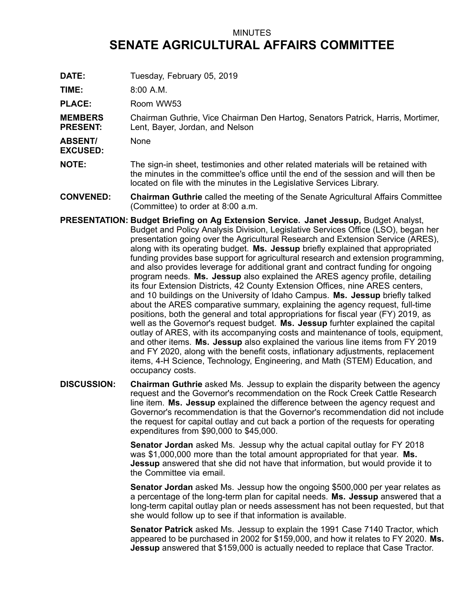## MINUTES **SENATE AGRICULTURAL AFFAIRS COMMITTEE**

**DATE:** Tuesday, February 05, 2019

**TIME:** 8:00 A.M.

PLACE: Room WW53

**MEMBERS PRESENT:** Chairman Guthrie, Vice Chairman Den Hartog, Senators Patrick, Harris, Mortimer, Lent, Bayer, Jordan, and Nelson

**ABSENT/** None

**EXCUSED:**

- **NOTE:** The sign-in sheet, testimonies and other related materials will be retained with the minutes in the committee's office until the end of the session and will then be located on file with the minutes in the Legislative Services Library.
- **CONVENED: Chairman Guthrie** called the meeting of the Senate Agricultural Affairs Committee (Committee) to order at 8:00 a.m.
- **PRESENTATION: Budget Briefing on Ag Extension Service. Janet Jessup,** Budget Analyst, Budget and Policy Analysis Division, Legislative Services Office (LSO), began her presentation going over the Agricultural Research and Extension Service (ARES), along with its operating budget. **Ms. Jessup** briefly explained that appropriated funding provides base support for agricultural research and extension programming, and also provides leverage for additional grant and contract funding for ongoing program needs. **Ms. Jessup** also explained the ARES agency profile, detailing its four Extension Districts, 42 County Extension Offices, nine ARES centers, and 10 buildings on the University of Idaho Campus. **Ms. Jessup** briefly talked about the ARES comparative summary, explaining the agency request, full-time positions, both the general and total appropriations for fiscal year (FY) 2019, as well as the Governor's request budget. **Ms. Jessup** furhter explained the capital outlay of ARES, with its accompanying costs and maintenance of tools, equipment, and other items. **Ms. Jessup** also explained the various line items from FY 2019 and FY 2020, along with the benefit costs, inflationary adjustments, replacement items, 4-H Science, Technology, Engineering, and Math (STEM) Education, and occupancy costs.
- **DISCUSSION: Chairman Guthrie** asked Ms. Jessup to explain the disparity between the agency request and the Governor's recommendation on the Rock Creek Cattle Research line item. **Ms. Jessup** explained the difference between the agency request and Governor's recommendation is that the Governor's recommendation did not include the request for capital outlay and cut back <sup>a</sup> portion of the requests for operating expenditures from \$90,000 to \$45,000.

**Senator Jordan** asked Ms. Jessup why the actual capital outlay for FY 2018 was \$1,000,000 more than the total amount appropriated for that year. **Ms. Jessup** answered that she did not have that information, but would provide it to the Committee via email.

**Senator Jordan** asked Ms. Jessup how the ongoing \$500,000 per year relates as <sup>a</sup> percentage of the long-term plan for capital needs. **Ms. Jessup** answered that <sup>a</sup> long-term capital outlay plan or needs assessment has not been requested, but that she would follow up to see if that information is available.

**Senator Patrick** asked Ms. Jessup to explain the 1991 Case 7140 Tractor, which appeared to be purchased in 2002 for \$159,000, and how it relates to FY 2020. **Ms. Jessup** answered that \$159,000 is actually needed to replace that Case Tractor.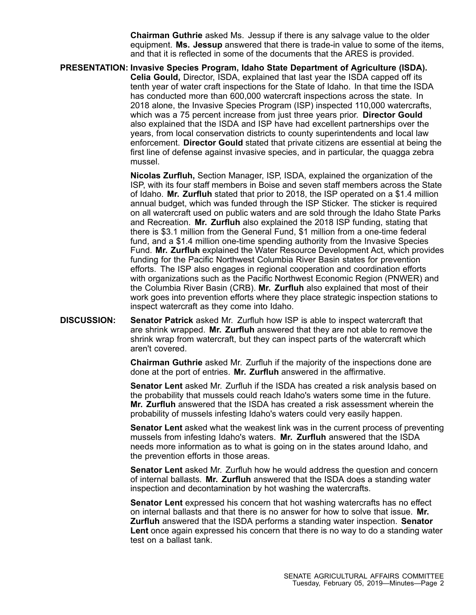**Chairman Guthrie** asked Ms. Jessup if there is any salvage value to the older equipment. **Ms. Jessup** answered that there is trade-in value to some of the items, and that it is reflected in some of the documents that the ARES is provided.

**PRESENTATION: Invasive Species Program, Idaho State Department of Agriculture (ISDA). Celia Gould,** Director, ISDA, explained that last year the ISDA capped off its tenth year of water craft inspections for the State of Idaho. In that time the ISDA has conducted more than 600,000 watercraft inspections across the state. In 2018 alone, the Invasive Species Program (ISP) inspected 110,000 watercrafts, which was <sup>a</sup> 75 percent increase from just three years prior. **Director Gould** also explained that the ISDA and ISP have had excellent partnerships over the years, from local conservation districts to county superintendents and local law enforcement. **Director Gould** stated that private citizens are essential at being the first line of defense against invasive species, and in particular, the quagga zebra mussel.

> **Nicolas Zurfluh,** Section Manager, ISP, ISDA, explained the organization of the ISP, with its four staff members in Boise and seven staff members across the State of Idaho. **Mr. Zurfluh** stated that prior to 2018, the ISP operated on <sup>a</sup> \$1.4 million annual budget, which was funded through the ISP Sticker. The sticker is required on all watercraft used on public waters and are sold through the Idaho State Parks and Recreation. **Mr. Zurfluh** also explained the 2018 ISP funding, stating that there is \$3.1 million from the General Fund, \$1 million from <sup>a</sup> one-time federal fund, and <sup>a</sup> \$1.4 million one-time spending authority from the Invasive Species Fund. **Mr. Zurfluh** explained the Water Resource Development Act, which provides funding for the Pacific Northwest Columbia River Basin states for prevention efforts. The ISP also engages in regional cooperation and coordination efforts with organizations such as the Pacific Northwest Economic Region (PNWER) and the Columbia River Basin (CRB). **Mr. Zurfluh** also explained that most of their work goes into prevention efforts where they place strategic inspection stations to inspect watercraft as they come into Idaho.

**DISCUSSION: Senator Patrick** asked Mr. Zurfluh how ISP is able to inspect watercraft that are shrink wrapped. **Mr. Zurfluh** answered that they are not able to remove the shrink wrap from watercraft, but they can inspect parts of the watercraft which aren't covered.

> **Chairman Guthrie** asked Mr. Zurfluh if the majority of the inspections done are done at the port of entries. **Mr. Zurfluh** answered in the affirmative.

**Senator Lent** asked Mr. Zurfluh if the ISDA has created <sup>a</sup> risk analysis based on the probability that mussels could reach Idaho's waters some time in the future. **Mr. Zurfluh** answered that the ISDA has created a risk assessment wherein the probability of mussels infesting Idaho's waters could very easily happen.

**Senator Lent** asked what the weakest link was in the current process of preventing mussels from infesting Idaho's waters. **Mr. Zurfluh** answered that the ISDA needs more information as to what is going on in the states around Idaho, and the prevention efforts in those areas.

**Senator Lent** asked Mr. Zurfluh how he would address the question and concern of internal ballasts. **Mr. Zurfluh** answered that the ISDA does <sup>a</sup> standing water inspection and decontamination by hot washing the watercrafts.

**Senator Lent** expressed his concern that hot washing watercrafts has no effect on internal ballasts and that there is no answer for how to solve that issue. **Mr. Zurfluh** answered that the ISDA performs <sup>a</sup> standing water inspection. **Senator Lent** once again expressed his concern that there is no way to do <sup>a</sup> standing water test on a ballast tank.